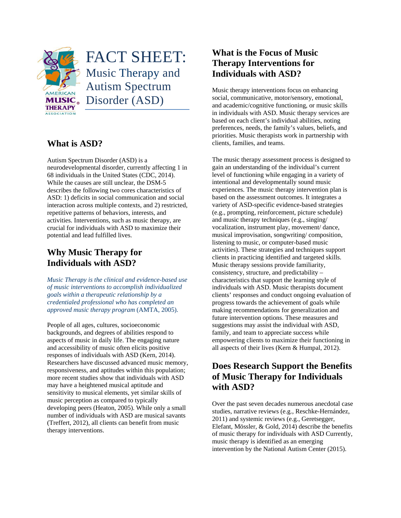

# FACT SHEET: Music Therapy and Autism Spectrum Disorder (ASD)

### **What is ASD?**

Autism Spectrum Disorder (ASD) is a neurodevelopmental disorder, currently affecting 1 in 68 individuals in the United States (CDC, 2014). While the causes are still unclear, the DSM-5 describes the following two cores characteristics of ASD: 1) deficits in social communication and social interaction across multiple contexts, and 2) restricted, repetitive patterns of behaviors, interests, and activities. Interventions, such as music therapy, are crucial for individuals with ASD to maximize their potential and lead fulfilled lives.

## **Why Music Therapy for Individuals with ASD?**

*Music Therapy is the clinical and evidence-based use of music interventions to accomplish individualized goals within a therapeutic relationship by a credentialed professional who has completed an approved music therapy program* (AMTA, 2005).

People of all ages, cultures, socioeconomic backgrounds, and degrees of abilities respond to aspects of music in daily life. The engaging nature and accessibility of music often elicits positive responses of individuals with ASD (Kern, 2014). Researchers have discussed advanced music memory, responsiveness, and aptitudes within this population; more recent studies show that individuals with ASD may have a heightened musical aptitude and sensitivity to musical elements, yet similar skills of music perception as compared to typically developing peers (Heaton, 2005). While only a small number of individuals with ASD are musical savants (Treffert, 2012), all clients can benefit from music therapy interventions.

## **What is the Focus of Music Therapy Interventions for Individuals with ASD?**

Music therapy interventions focus on enhancing social, communicative, motor/sensory, emotional, and academic/cognitive functioning, or music skills in individuals with ASD. Music therapy services are based on each client's individual abilities, noting preferences, needs, the family's values, beliefs, and priorities. Music therapists work in partnership with clients, families, and teams.

The music therapy assessment process is designed to gain an understanding of the individual's current level of functioning while engaging in a variety of intentional and developmentally sound music experiences. The music therapy intervention plan is based on the assessment outcomes. It integrates a variety of ASD-specific evidence-based strategies (e.g., prompting, reinforcement, picture schedule) and music therapy techniques (e.g., singing/ vocalization, instrument play, movement/ dance, musical improvisation, songwriting/ composition, listening to music, or computer-based music activities). These strategies and techniques support clients in practicing identified and targeted skills. Music therapy sessions provide familiarity, consistency, structure, and predictability – characteristics that support the learning style of individuals with ASD. Music therapists document clients' responses and conduct ongoing evaluation of progress towards the achievement of goals while making recommendations for generalization and future intervention options. These measures and suggestions may assist the individual with ASD, family, and team to appreciate success while empowering clients to maximize their functioning in all aspects of their lives (Kern & Humpal, 2012).

## **Does Research Support the Benefits of Music Therapy for Individuals with ASD?**

Over the past seven decades numerous anecdotal case studies, narrative reviews (e.g., Reschke-Hernández, 2011) and systemic reviews (e.g., Geretsegger, Elefant, Mössler, & Gold, 2014) describe the benefits of music therapy for individuals with ASD Currently, music therapy is identified as an emerging intervention by the National Autism Center (2015).